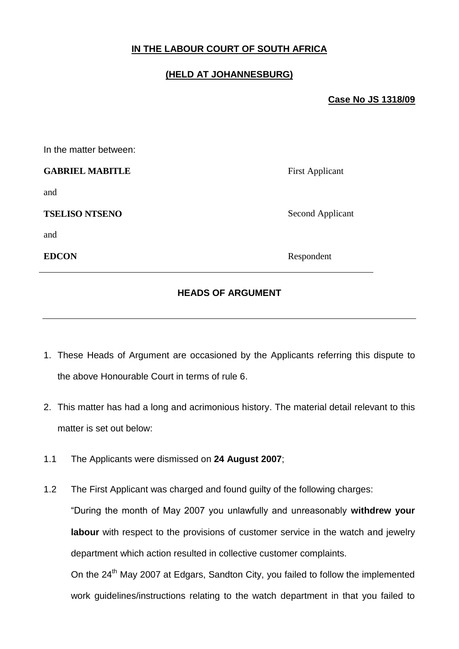# **IN THE LABOUR COURT OF SOUTH AFRICA**

# **(HELD AT JOHANNESBURG)**

## **Case No JS 1318/09**

**First Applicant** 

**Second Applicant** 

**Respondent** 

| In the matter between: |  |  |
|------------------------|--|--|
| <b>GABRIEL MABITLE</b> |  |  |
| and                    |  |  |
| <b>TSELISO NTSENO</b>  |  |  |
| and                    |  |  |
| <b>EDCON</b>           |  |  |
|                        |  |  |

## **HEADS OF ARGUMENT**

- 1. These Heads of Argument are occasioned by the Applicants referring this dispute to the above Honourable Court in terms of rule 6.
- 2. This matter has had a long and acrimonious history. The material detail relevant to this matter is set out below:
- 1.1 The Applicants were dismissed on **24 August 2007**;
- 1.2 The First Applicant was charged and found guilty of the following charges: "During the month of May 2007 you unlawfully and unreasonably **withdrew your labour** with respect to the provisions of customer service in the watch and jewelry department which action resulted in collective customer complaints. On the 24<sup>th</sup> May 2007 at Edgars, Sandton City, you failed to follow the implemented work guidelines/instructions relating to the watch department in that you failed to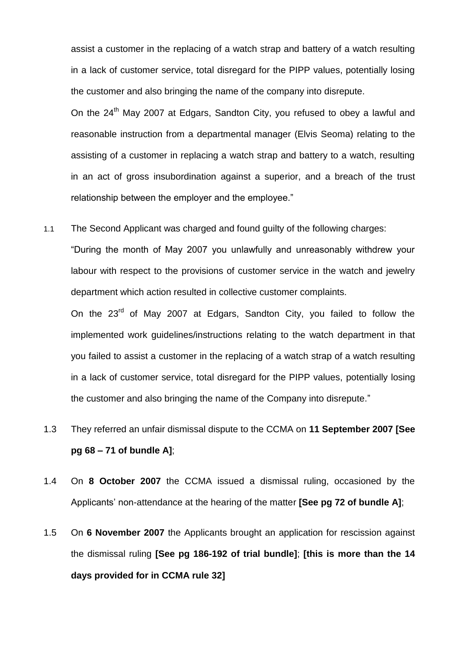assist a customer in the replacing of a watch strap and battery of a watch resulting in a lack of customer service, total disregard for the PIPP values, potentially losing the customer and also bringing the name of the company into disrepute.

On the 24<sup>th</sup> May 2007 at Edgars, Sandton City, you refused to obey a lawful and reasonable instruction from a departmental manager (Elvis Seoma) relating to the assisting of a customer in replacing a watch strap and battery to a watch, resulting in an act of gross insubordination against a superior, and a breach of the trust relationship between the employer and the employee."

1.1 The Second Applicant was charged and found guilty of the following charges:

"During the month of May 2007 you unlawfully and unreasonably withdrew your labour with respect to the provisions of customer service in the watch and jewelry department which action resulted in collective customer complaints.

On the 23<sup>rd</sup> of May 2007 at Edgars, Sandton City, you failed to follow the implemented work guidelines/instructions relating to the watch department in that you failed to assist a customer in the replacing of a watch strap of a watch resulting in a lack of customer service, total disregard for the PIPP values, potentially losing the customer and also bringing the name of the Company into disrepute."

- 1.3 They referred an unfair dismissal dispute to the CCMA on **11 September 2007 [See pg 68 – 71 of bundle A]**;
- 1.4 On **8 October 2007** the CCMA issued a dismissal ruling, occasioned by the Applicants' non-attendance at the hearing of the matter **[See pg 72 of bundle A]**;
- 1.5 On **6 November 2007** the Applicants brought an application for rescission against the dismissal ruling **[See pg 186-192 of trial bundle]**; **[this is more than the 14 days provided for in CCMA rule 32]**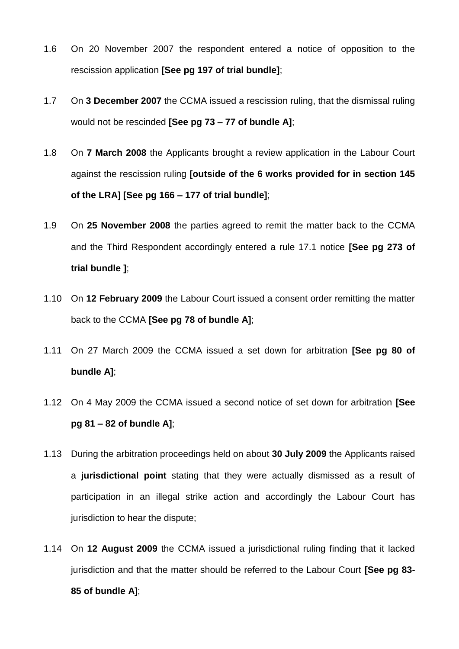- 1.6 On 20 November 2007 the respondent entered a notice of opposition to the rescission application **[See pg 197 of trial bundle]**;
- 1.7 On **3 December 2007** the CCMA issued a rescission ruling, that the dismissal ruling would not be rescinded **[See pg 73 – 77 of bundle A]**;
- 1.8 On **7 March 2008** the Applicants brought a review application in the Labour Court against the rescission ruling **[outside of the 6 works provided for in section 145 of the LRA] [See pg 166 – 177 of trial bundle]**;
- 1.9 On **25 November 2008** the parties agreed to remit the matter back to the CCMA and the Third Respondent accordingly entered a rule 17.1 notice **[See pg 273 of trial bundle ]**;
- 1.10 On **12 February 2009** the Labour Court issued a consent order remitting the matter back to the CCMA **[See pg 78 of bundle A]**;
- 1.11 On 27 March 2009 the CCMA issued a set down for arbitration **[See pg 80 of bundle A]**;
- 1.12 On 4 May 2009 the CCMA issued a second notice of set down for arbitration **[See pg 81 – 82 of bundle A]**;
- 1.13 During the arbitration proceedings held on about **30 July 2009** the Applicants raised a **jurisdictional point** stating that they were actually dismissed as a result of participation in an illegal strike action and accordingly the Labour Court has jurisdiction to hear the dispute;
- 1.14 On **12 August 2009** the CCMA issued a jurisdictional ruling finding that it lacked jurisdiction and that the matter should be referred to the Labour Court **[See pg 83- 85 of bundle A]**;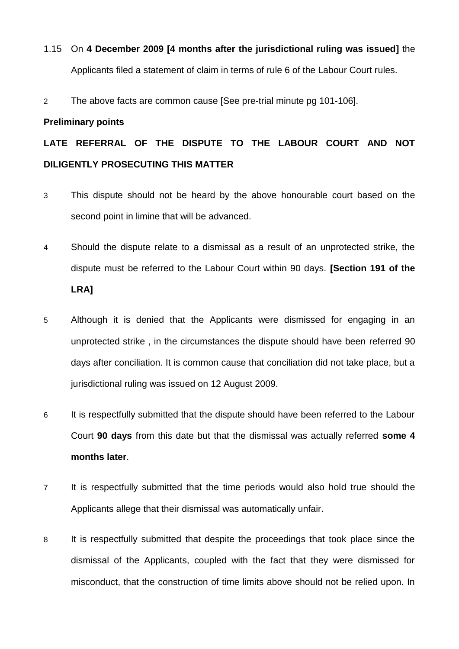# 1.15 On **4 December 2009 [4 months after the jurisdictional ruling was issued]** the Applicants filed a statement of claim in terms of rule 6 of the Labour Court rules.

2 The above facts are common cause [See pre-trial minute pg 101-106].

### **Preliminary points**

# **LATE REFERRAL OF THE DISPUTE TO THE LABOUR COURT AND NOT DILIGENTLY PROSECUTING THIS MATTER**

- 3 This dispute should not be heard by the above honourable court based on the second point in limine that will be advanced.
- 4 Should the dispute relate to a dismissal as a result of an unprotected strike, the dispute must be referred to the Labour Court within 90 days. **[Section 191 of the LRA]**
- 5 Although it is denied that the Applicants were dismissed for engaging in an unprotected strike , in the circumstances the dispute should have been referred 90 days after conciliation. It is common cause that conciliation did not take place, but a jurisdictional ruling was issued on 12 August 2009.
- 6 It is respectfully submitted that the dispute should have been referred to the Labour Court **90 days** from this date but that the dismissal was actually referred **some 4 months later**.
- 7 It is respectfully submitted that the time periods would also hold true should the Applicants allege that their dismissal was automatically unfair.
- 8 It is respectfully submitted that despite the proceedings that took place since the dismissal of the Applicants, coupled with the fact that they were dismissed for misconduct, that the construction of time limits above should not be relied upon. In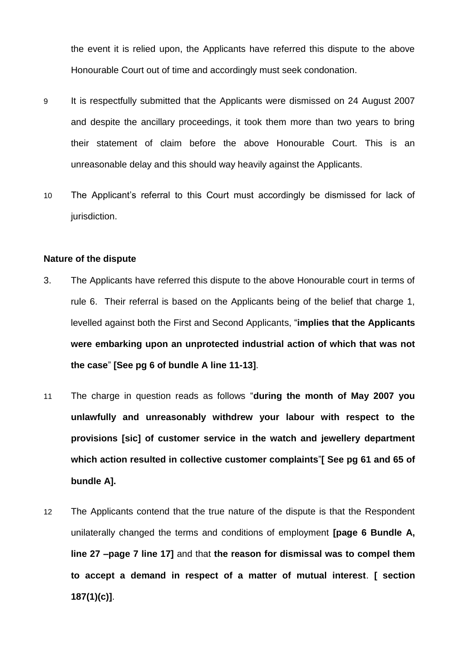the event it is relied upon, the Applicants have referred this dispute to the above Honourable Court out of time and accordingly must seek condonation.

- 9 It is respectfully submitted that the Applicants were dismissed on 24 August 2007 and despite the ancillary proceedings, it took them more than two years to bring their statement of claim before the above Honourable Court. This is an unreasonable delay and this should way heavily against the Applicants.
- 10 The Applicant's referral to this Court must accordingly be dismissed for lack of jurisdiction.

#### **Nature of the dispute**

- 3. The Applicants have referred this dispute to the above Honourable court in terms of rule 6. Their referral is based on the Applicants being of the belief that charge 1, levelled against both the First and Second Applicants, "**implies that the Applicants were embarking upon an unprotected industrial action of which that was not the case**" **[See pg 6 of bundle A line 11-13]**.
- 11 The charge in question reads as follows "**during the month of May 2007 you unlawfully and unreasonably withdrew your labour with respect to the provisions [sic] of customer service in the watch and jewellery department which action resulted in collective customer complaints**"**[ See pg 61 and 65 of bundle A].**
- 12 The Applicants contend that the true nature of the dispute is that the Respondent unilaterally changed the terms and conditions of employment **[page 6 Bundle A, line 27 –page 7 line 17]** and that **the reason for dismissal was to compel them to accept a demand in respect of a matter of mutual interest**. **[ section 187(1)(c)]**.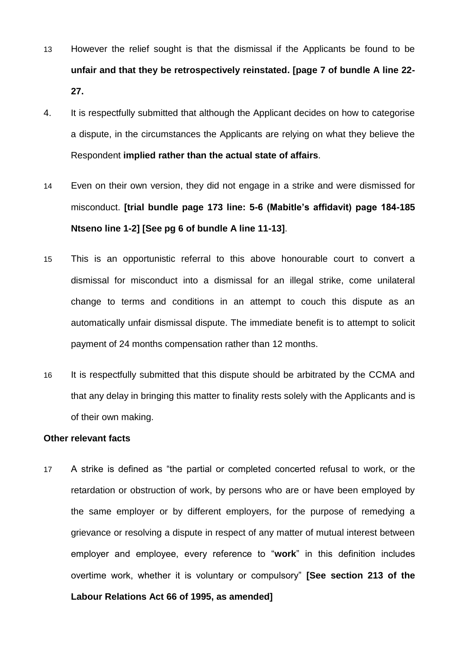- 13 However the relief sought is that the dismissal if the Applicants be found to be **unfair and that they be retrospectively reinstated. [page 7 of bundle A line 22- 27.**
- 4. It is respectfully submitted that although the Applicant decides on how to categorise a dispute, in the circumstances the Applicants are relying on what they believe the Respondent **implied rather than the actual state of affairs**.
- 14 Even on their own version, they did not engage in a strike and were dismissed for misconduct. **[trial bundle page 173 line: 5-6 (Mabitle's affidavit) page 184-185 Ntseno line 1-2] [See pg 6 of bundle A line 11-13]**.
- 15 This is an opportunistic referral to this above honourable court to convert a dismissal for misconduct into a dismissal for an illegal strike, come unilateral change to terms and conditions in an attempt to couch this dispute as an automatically unfair dismissal dispute. The immediate benefit is to attempt to solicit payment of 24 months compensation rather than 12 months.
- 16 It is respectfully submitted that this dispute should be arbitrated by the CCMA and that any delay in bringing this matter to finality rests solely with the Applicants and is of their own making.

#### **Other relevant facts**

17 A strike is defined as "the partial or completed concerted refusal to work, or the retardation or obstruction of work, by persons who are or have been employed by the same employer or by different employers, for the purpose of remedying a grievance or resolving a dispute in respect of any matter of mutual interest between employer and employee, every reference to "**work**" in this definition includes overtime work, whether it is voluntary or compulsory" **[See section 213 of the Labour Relations Act 66 of 1995, as amended]**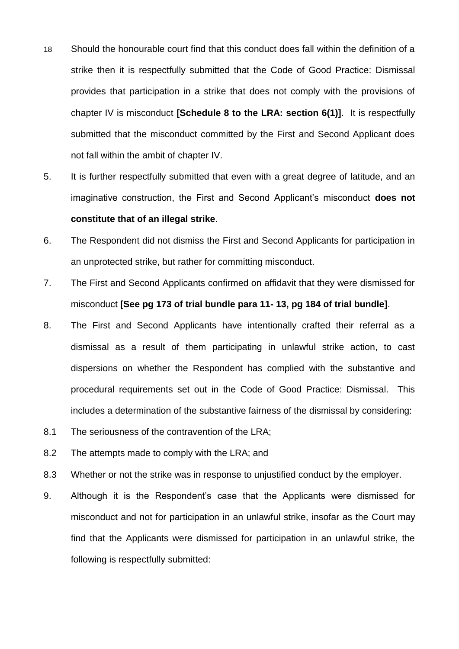- 18 Should the honourable court find that this conduct does fall within the definition of a strike then it is respectfully submitted that the Code of Good Practice: Dismissal provides that participation in a strike that does not comply with the provisions of chapter IV is misconduct **[Schedule 8 to the LRA: section 6(1)]**. It is respectfully submitted that the misconduct committed by the First and Second Applicant does not fall within the ambit of chapter IV.
- 5. It is further respectfully submitted that even with a great degree of latitude, and an imaginative construction, the First and Second Applicant's misconduct **does not constitute that of an illegal strike**.
- 6. The Respondent did not dismiss the First and Second Applicants for participation in an unprotected strike, but rather for committing misconduct.
- 7. The First and Second Applicants confirmed on affidavit that they were dismissed for misconduct **[See pg 173 of trial bundle para 11- 13, pg 184 of trial bundle]**.
- 8. The First and Second Applicants have intentionally crafted their referral as a dismissal as a result of them participating in unlawful strike action, to cast dispersions on whether the Respondent has complied with the substantive and procedural requirements set out in the Code of Good Practice: Dismissal. This includes a determination of the substantive fairness of the dismissal by considering:
- 8.1 The seriousness of the contravention of the LRA;
- 8.2 The attempts made to comply with the LRA; and
- 8.3 Whether or not the strike was in response to unjustified conduct by the employer.
- 9. Although it is the Respondent's case that the Applicants were dismissed for misconduct and not for participation in an unlawful strike, insofar as the Court may find that the Applicants were dismissed for participation in an unlawful strike, the following is respectfully submitted: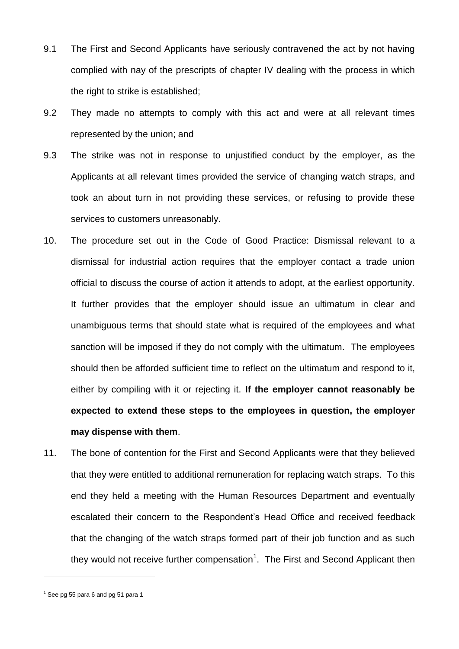- 9.1 The First and Second Applicants have seriously contravened the act by not having complied with nay of the prescripts of chapter IV dealing with the process in which the right to strike is established;
- 9.2 They made no attempts to comply with this act and were at all relevant times represented by the union; and
- 9.3 The strike was not in response to unjustified conduct by the employer, as the Applicants at all relevant times provided the service of changing watch straps, and took an about turn in not providing these services, or refusing to provide these services to customers unreasonably.
- 10. The procedure set out in the Code of Good Practice: Dismissal relevant to a dismissal for industrial action requires that the employer contact a trade union official to discuss the course of action it attends to adopt, at the earliest opportunity. It further provides that the employer should issue an ultimatum in clear and unambiguous terms that should state what is required of the employees and what sanction will be imposed if they do not comply with the ultimatum. The employees should then be afforded sufficient time to reflect on the ultimatum and respond to it, either by compiling with it or rejecting it. **If the employer cannot reasonably be expected to extend these steps to the employees in question, the employer may dispense with them**.
- 11. The bone of contention for the First and Second Applicants were that they believed that they were entitled to additional remuneration for replacing watch straps. To this end they held a meeting with the Human Resources Department and eventually escalated their concern to the Respondent's Head Office and received feedback that the changing of the watch straps formed part of their job function and as such they would not receive further compensation<sup>1</sup>. The First and Second Applicant then

<u>.</u>

 $<sup>1</sup>$  See pg 55 para 6 and pg 51 para 1</sup>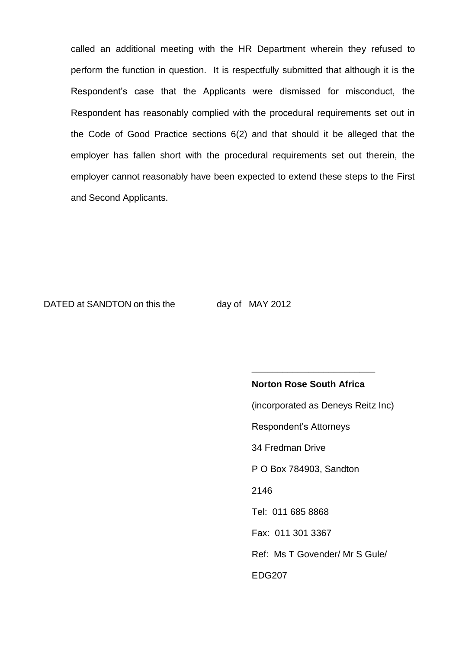called an additional meeting with the HR Department wherein they refused to perform the function in question. It is respectfully submitted that although it is the Respondent's case that the Applicants were dismissed for misconduct, the Respondent has reasonably complied with the procedural requirements set out in the Code of Good Practice sections 6(2) and that should it be alleged that the employer has fallen short with the procedural requirements set out therein, the employer cannot reasonably have been expected to extend these steps to the First and Second Applicants.

#### DATED at SANDTON on this the day of MAY 2012

# **Norton Rose South Africa** (incorporated as Deneys Reitz Inc) Respondent's Attorneys 34 Fredman Drive P O Box 784903, Sandton 2146 Tel: 011 685 8868 Fax: 011 301 3367 Ref: Ms T Govender/ Mr S Gule/ EDG207

**\_\_\_\_\_\_\_\_\_\_\_\_\_\_\_\_\_\_\_\_\_\_\_\_**